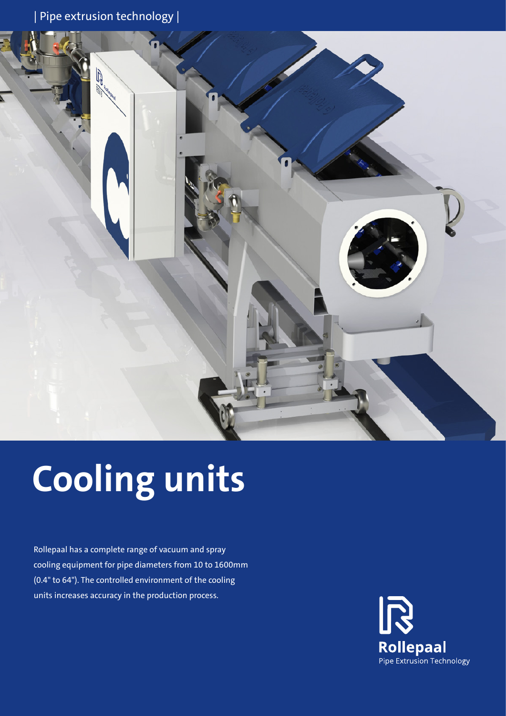| Pipe extrusion technology |



# **Cooling units**

Rollepaal has a complete range of vacuum and spray cooling equipment for pipe diameters from 10 to 1600mm (0.4" to 64"). The controlled environment of the cooling units increases accuracy in the production process.